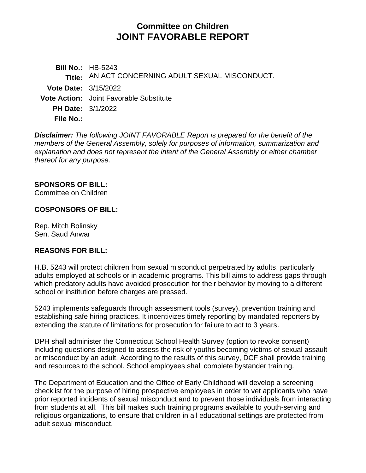# **Committee on Children JOINT FAVORABLE REPORT**

**Bill No.:** HB-5243 **Title:** AN ACT CONCERNING ADULT SEXUAL MISCONDUCT. **Vote Date:** 3/15/2022 **Vote Action:** Joint Favorable Substitute **PH Date:** 3/1/2022 **File No.:**

*Disclaimer: The following JOINT FAVORABLE Report is prepared for the benefit of the members of the General Assembly, solely for purposes of information, summarization and explanation and does not represent the intent of the General Assembly or either chamber thereof for any purpose.*

#### **SPONSORS OF BILL:**

Committee on Children

#### **COSPONSORS OF BILL:**

Rep. Mitch Bolinsky Sen. Saud Anwar

#### **REASONS FOR BILL:**

H.B. 5243 will protect children from sexual misconduct perpetrated by adults, particularly adults employed at schools or in academic programs. This bill aims to address gaps through which predatory adults have avoided prosecution for their behavior by moving to a different school or institution before charges are pressed.

5243 implements safeguards through assessment tools (survey), prevention training and establishing safe hiring practices. It incentivizes timely reporting by mandated reporters by extending the statute of limitations for prosecution for failure to act to 3 years.

DPH shall administer the Connecticut School Health Survey (option to revoke consent) including questions designed to assess the risk of youths becoming victims of sexual assault or misconduct by an adult. According to the results of this survey, DCF shall provide training and resources to the school. School employees shall complete bystander training.

The Department of Education and the Office of Early Childhood will develop a screening checklist for the purpose of hiring prospective employees in order to vet applicants who have prior reported incidents of sexual misconduct and to prevent those individuals from interacting from students at all. This bill makes such training programs available to youth-serving and religious organizations, to ensure that children in all educational settings are protected from adult sexual misconduct.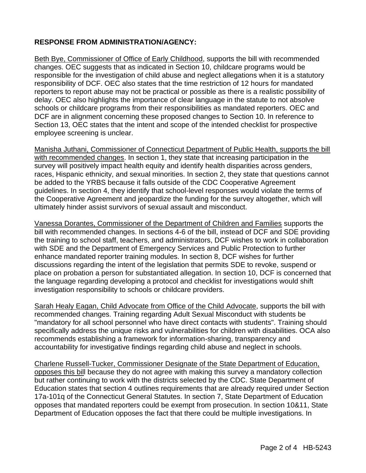## **RESPONSE FROM ADMINISTRATION/AGENCY:**

Beth Bye, Commissioner of Office of Early Childhood, supports the bill with recommended changes. OEC suggests that as indicated in Section 10, childcare programs would be responsible for the investigation of child abuse and neglect allegations when it is a statutory responsibility of DCF. OEC also states that the time restriction of 12 hours for mandated reporters to report abuse may not be practical or possible as there is a realistic possibility of delay. OEC also highlights the importance of clear language in the statute to not absolve schools or childcare programs from their responsibilities as mandated reporters. OEC and DCF are in alignment concerning these proposed changes to Section 10. In reference to Section 13, OEC states that the intent and scope of the intended checklist for prospective employee screening is unclear.

Manisha Juthani, Commissioner of Connecticut Department of Public Health, supports the bill with recommended changes. In section 1, they state that increasing participation in the survey will positively impact health equity and identify health disparities across genders, races, Hispanic ethnicity, and sexual minorities. In section 2, they state that questions cannot be added to the YRBS because it falls outside of the CDC Cooperative Agreement guidelines. In section 4, they identify that school-level responses would violate the terms of the Cooperative Agreement and jeopardize the funding for the survey altogether, which will ultimately hinder assist survivors of sexual assault and misconduct.

Vanessa Dorantes, Commissioner of the Department of Children and Families supports the bill with recommended changes. In sections 4-6 of the bill, instead of DCF and SDE providing the training to school staff, teachers, and administrators, DCF wishes to work in collaboration with SDE and the Department of Emergency Services and Public Protection to further enhance mandated reporter training modules. In section 8, DCF wishes for further discussions regarding the intent of the legislation that permits SDE to revoke, suspend or place on probation a person for substantiated allegation. In section 10, DCF is concerned that the language regarding developing a protocol and checklist for investigations would shift investigation responsibility to schools or childcare providers.

Sarah Healy Eagan, Child Advocate from Office of the Child Advocate, supports the bill with recommended changes. Training regarding Adult Sexual Misconduct with students be "mandatory for all school personnel who have direct contacts with students". Training should specifically address the unique risks and vulnerabilities for children with disabilities. OCA also recommends establishing a framework for information-sharing, transparency and accountability for investigative findings regarding child abuse and neglect in schools.

Charlene Russell-Tucker, Commissioner Designate of the State Department of Education, opposes this bill because they do not agree with making this survey a mandatory collection but rather continuing to work with the districts selected by the CDC. State Department of Education states that section 4 outlines requirements that are already required under Section 17a-101q of the Connecticut General Statutes. In section 7, State Department of Education opposes that mandated reporters could be exempt from prosecution. In section 10&11, State Department of Education opposes the fact that there could be multiple investigations. In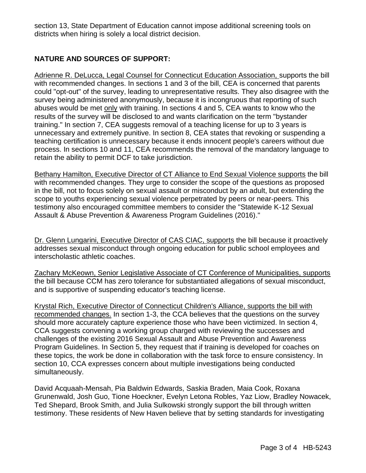section 13, State Department of Education cannot impose additional screening tools on districts when hiring is solely a local district decision.

## **NATURE AND SOURCES OF SUPPORT:**

Adrienne R. DeLucca, Legal Counsel for Connecticut Education Association, supports the bill with recommended changes. In sections 1 and 3 of the bill, CEA is concerned that parents could "opt-out" of the survey, leading to unrepresentative results. They also disagree with the survey being administered anonymously, because it is incongruous that reporting of such abuses would be met only with training. In sections 4 and 5, CEA wants to know who the results of the survey will be disclosed to and wants clarification on the term "bystander training." In section 7, CEA suggests removal of a teaching license for up to 3 years is unnecessary and extremely punitive. In section 8, CEA states that revoking or suspending a teaching certification is unnecessary because it ends innocent people's careers without due process. In sections 10 and 11, CEA recommends the removal of the mandatory language to retain the ability to permit DCF to take jurisdiction.

Bethany Hamilton, Executive Director of CT Alliance to End Sexual Violence supports the bill with recommended changes. They urge to consider the scope of the questions as proposed in the bill, not to focus solely on sexual assault or misconduct by an adult, but extending the scope to youths experiencing sexual violence perpetrated by peers or near-peers. This testimony also encouraged committee members to consider the "Statewide K-12 Sexual Assault & Abuse Prevention & Awareness Program Guidelines (2016)."

Dr. Glenn Lungarini, Executive Director of CAS CIAC, supports the bill because it proactively addresses sexual misconduct through ongoing education for public school employees and interscholastic athletic coaches.

Zachary McKeown, Senior Legislative Associate of CT Conference of Municipalities, supports the bill because CCM has zero tolerance for substantiated allegations of sexual misconduct, and is supportive of suspending educator's teaching license.

Krystal Rich, Executive Director of Connecticut Children's Alliance, supports the bill with recommended changes. In section 1-3, the CCA believes that the questions on the survey should more accurately capture experience those who have been victimized. In section 4, CCA suggests convening a working group charged with reviewing the successes and challenges of the existing 2016 Sexual Assault and Abuse Prevention and Awareness Program Guidelines. In Section 5, they request that if training is developed for coaches on these topics, the work be done in collaboration with the task force to ensure consistency. In section 10, CCA expresses concern about multiple investigations being conducted simultaneously.

David Acquaah-Mensah, Pia Baldwin Edwards, Saskia Braden, Maia Cook, Roxana Grunenwald, Josh Guo, Tione Hoeckner, Evelyn Letona Robles, Yaz Liow, Bradley Nowacek, Ted Shepard, Brook Smith, and Julia Sulkowski strongly support the bill through written testimony. These residents of New Haven believe that by setting standards for investigating